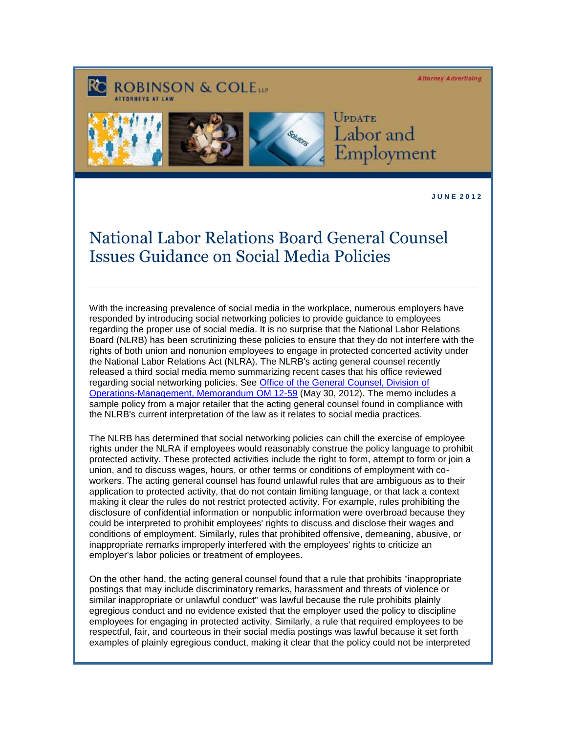**Attorney Advertising** 





UPDATE Labor and Employment

**J U N E 2 0 1 2** 

## National Labor Relations Board General Counsel Issues Guidance on Social Media Policies

With the increasing prevalence of social media in the workplace, numerous employers have responded by introducing social networking policies to provide guidance to employees regarding the proper use of social media. It is no surprise that the National Labor Relations Board (NLRB) has been scrutinizing these policies to ensure that they do not interfere with the rights of both union and nonunion employees to engage in protected concerted activity under the National Labor Relations Act (NLRA). The NLRB's acting general counsel recently released a third social media memo summarizing recent cases that his office reviewed regarding social networking policies. See [Office of the General Counsel, Division of](http://www.rc.com/documents/OM1259ActingGeneralCounselReportConcerningSocialMediaCases.pdf)  [Operations-Management, Memorandum OM 12-59](http://www.rc.com/documents/OM1259ActingGeneralCounselReportConcerningSocialMediaCases.pdf) (May 30, 2012). The memo includes a sample policy from a major retailer that the acting general counsel found in compliance with the NLRB's current interpretation of the law as it relates to social media practices.

The NLRB has determined that social networking policies can chill the exercise of employee rights under the NLRA if employees would reasonably construe the policy language to prohibit protected activity. These protected activities include the right to form, attempt to form or join a union, and to discuss wages, hours, or other terms or conditions of employment with coworkers. The acting general counsel has found unlawful rules that are ambiguous as to their application to protected activity, that do not contain limiting language, or that lack a context making it clear the rules do not restrict protected activity. For example, rules prohibiting the disclosure of confidential information or nonpublic information were overbroad because they could be interpreted to prohibit employees' rights to discuss and disclose their wages and conditions of employment. Similarly, rules that prohibited offensive, demeaning, abusive, or inappropriate remarks improperly interfered with the employees' rights to criticize an employer's labor policies or treatment of employees.

On the other hand, the acting general counsel found that a rule that prohibits "inappropriate postings that may include discriminatory remarks, harassment and threats of violence or similar inappropriate or unlawful conduct" was lawful because the rule prohibits plainly egregious conduct and no evidence existed that the employer used the policy to discipline employees for engaging in protected activity. Similarly, a rule that required employees to be respectful, fair, and courteous in their social media postings was lawful because it set forth examples of plainly egregious conduct, making it clear that the policy could not be interpreted